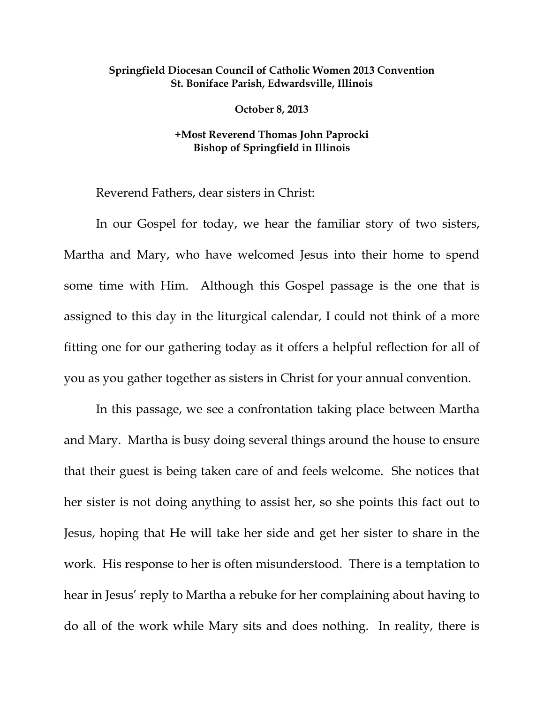## **Springfield Diocesan Council of Catholic Women 2013 Convention St. Boniface Parish, Edwardsville, Illinois**

**October 8, 2013** 

## **+Most Reverend Thomas John Paprocki Bishop of Springfield in Illinois**

Reverend Fathers, dear sisters in Christ:

 In our Gospel for today, we hear the familiar story of two sisters, Martha and Mary, who have welcomed Jesus into their home to spend some time with Him. Although this Gospel passage is the one that is assigned to this day in the liturgical calendar, I could not think of a more fitting one for our gathering today as it offers a helpful reflection for all of you as you gather together as sisters in Christ for your annual convention.

 In this passage, we see a confrontation taking place between Martha and Mary. Martha is busy doing several things around the house to ensure that their guest is being taken care of and feels welcome. She notices that her sister is not doing anything to assist her, so she points this fact out to Jesus, hoping that He will take her side and get her sister to share in the work. His response to her is often misunderstood. There is a temptation to hear in Jesus' reply to Martha a rebuke for her complaining about having to do all of the work while Mary sits and does nothing. In reality, there is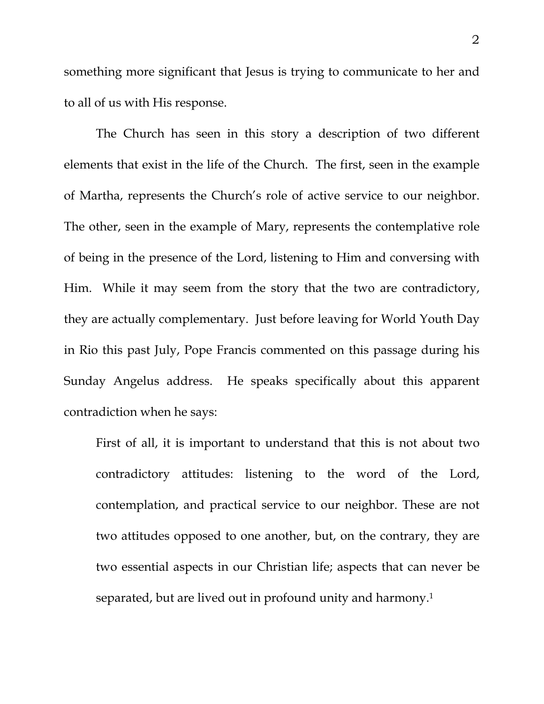something more significant that Jesus is trying to communicate to her and to all of us with His response.

 The Church has seen in this story a description of two different elements that exist in the life of the Church. The first, seen in the example of Martha, represents the Church's role of active service to our neighbor. The other, seen in the example of Mary, represents the contemplative role of being in the presence of the Lord, listening to Him and conversing with Him. While it may seem from the story that the two are contradictory, they are actually complementary. Just before leaving for World Youth Day in Rio this past July, Pope Francis commented on this passage during his Sunday Angelus address. He speaks specifically about this apparent contradiction when he says:

First of all, it is important to understand that this is not about two contradictory attitudes: listening to the word of the Lord, contemplation, and practical service to our neighbor. These are not two attitudes opposed to one another, but, on the contrary, they are two essential aspects in our Christian life; aspects that can never be separated, but are lived out in profound unity and harmony.1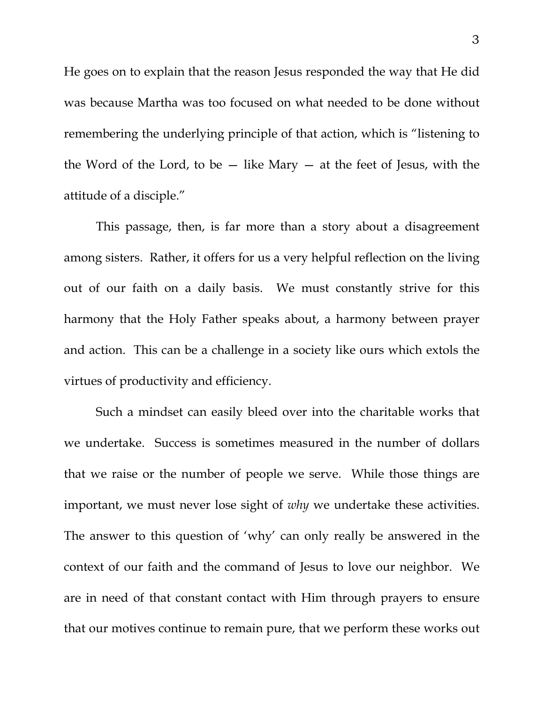He goes on to explain that the reason Jesus responded the way that He did was because Martha was too focused on what needed to be done without remembering the underlying principle of that action, which is "listening to the Word of the Lord, to be  $-$  like Mary  $-$  at the feet of Jesus, with the attitude of a disciple."

 This passage, then, is far more than a story about a disagreement among sisters. Rather, it offers for us a very helpful reflection on the living out of our faith on a daily basis. We must constantly strive for this harmony that the Holy Father speaks about, a harmony between prayer and action. This can be a challenge in a society like ours which extols the virtues of productivity and efficiency.

Such a mindset can easily bleed over into the charitable works that we undertake. Success is sometimes measured in the number of dollars that we raise or the number of people we serve. While those things are important, we must never lose sight of *why* we undertake these activities. The answer to this question of 'why' can only really be answered in the context of our faith and the command of Jesus to love our neighbor. We are in need of that constant contact with Him through prayers to ensure that our motives continue to remain pure, that we perform these works out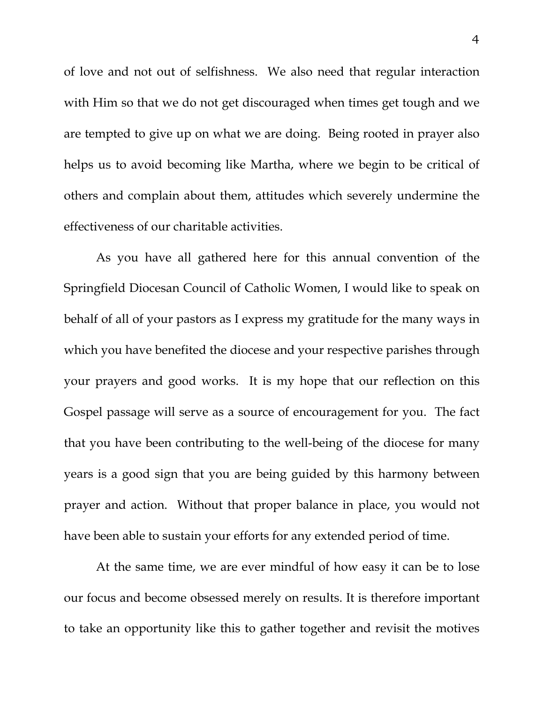of love and not out of selfishness. We also need that regular interaction with Him so that we do not get discouraged when times get tough and we are tempted to give up on what we are doing. Being rooted in prayer also helps us to avoid becoming like Martha, where we begin to be critical of others and complain about them, attitudes which severely undermine the effectiveness of our charitable activities.

 As you have all gathered here for this annual convention of the Springfield Diocesan Council of Catholic Women, I would like to speak on behalf of all of your pastors as I express my gratitude for the many ways in which you have benefited the diocese and your respective parishes through your prayers and good works. It is my hope that our reflection on this Gospel passage will serve as a source of encouragement for you. The fact that you have been contributing to the well-being of the diocese for many years is a good sign that you are being guided by this harmony between prayer and action. Without that proper balance in place, you would not have been able to sustain your efforts for any extended period of time.

At the same time, we are ever mindful of how easy it can be to lose our focus and become obsessed merely on results. It is therefore important to take an opportunity like this to gather together and revisit the motives